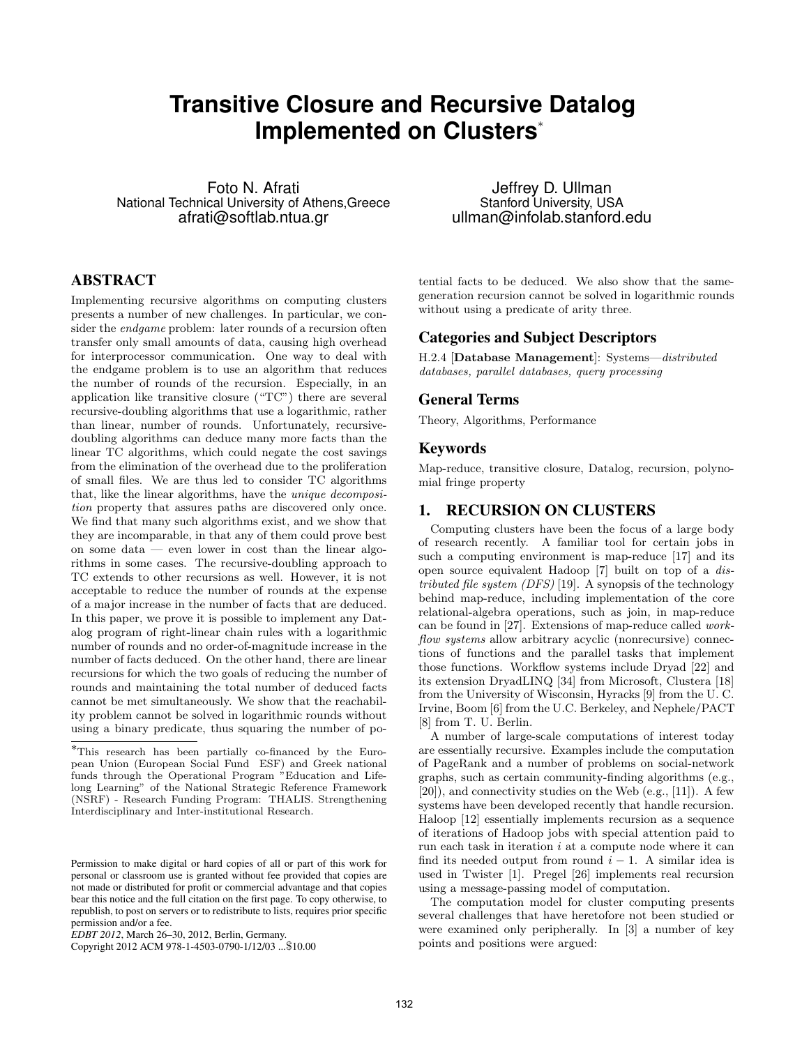# **Transitive Closure and Recursive Datalog Implemented on Clusters**<sup>∗</sup>

Foto N. Afrati National Technical University of Athens,Greece afrati@softlab.ntua.gr

# ABSTRACT

Implementing recursive algorithms on computing clusters presents a number of new challenges. In particular, we consider the *endgame* problem: later rounds of a recursion often transfer only small amounts of data, causing high overhead for interprocessor communication. One way to deal with the endgame problem is to use an algorithm that reduces the number of rounds of the recursion. Especially, in an application like transitive closure ("TC") there are several recursive-doubling algorithms that use a logarithmic, rather than linear, number of rounds. Unfortunately, recursivedoubling algorithms can deduce many more facts than the linear TC algorithms, which could negate the cost savings from the elimination of the overhead due to the proliferation of small files. We are thus led to consider TC algorithms that, like the linear algorithms, have the unique decomposition property that assures paths are discovered only once. We find that many such algorithms exist, and we show that they are incomparable, in that any of them could prove best on some data — even lower in cost than the linear algorithms in some cases. The recursive-doubling approach to TC extends to other recursions as well. However, it is not acceptable to reduce the number of rounds at the expense of a major increase in the number of facts that are deduced. In this paper, we prove it is possible to implement any Datalog program of right-linear chain rules with a logarithmic number of rounds and no order-of-magnitude increase in the number of facts deduced. On the other hand, there are linear recursions for which the two goals of reducing the number of rounds and maintaining the total number of deduced facts cannot be met simultaneously. We show that the reachability problem cannot be solved in logarithmic rounds without using a binary predicate, thus squaring the number of po-

Jeffrey D. Ullman Stanford University, USA ullman@infolab.stanford.edu

tential facts to be deduced. We also show that the samegeneration recursion cannot be solved in logarithmic rounds without using a predicate of arity three.

## Categories and Subject Descriptors

H.2.4 [Database Management]: Systems—distributed databases, parallel databases, query processing

## General Terms

Theory, Algorithms, Performance

## Keywords

Map-reduce, transitive closure, Datalog, recursion, polynomial fringe property

# 1. RECURSION ON CLUSTERS

Computing clusters have been the focus of a large body of research recently. A familiar tool for certain jobs in such a computing environment is map-reduce [17] and its open source equivalent Hadoop [7] built on top of a distributed file system (DFS) [19]. A synopsis of the technology behind map-reduce, including implementation of the core relational-algebra operations, such as join, in map-reduce can be found in [27]. Extensions of map-reduce called workflow systems allow arbitrary acyclic (nonrecursive) connections of functions and the parallel tasks that implement those functions. Workflow systems include Dryad [22] and its extension DryadLINQ [34] from Microsoft, Clustera [18] from the University of Wisconsin, Hyracks [9] from the U. C. Irvine, Boom [6] from the U.C. Berkeley, and Nephele/PACT [8] from T. U. Berlin.

A number of large-scale computations of interest today are essentially recursive. Examples include the computation of PageRank and a number of problems on social-network graphs, such as certain community-finding algorithms (e.g., [20]), and connectivity studies on the Web (e.g., [11]). A few systems have been developed recently that handle recursion. Haloop [12] essentially implements recursion as a sequence of iterations of Hadoop jobs with special attention paid to run each task in iteration  $i$  at a compute node where it can find its needed output from round  $i - 1$ . A similar idea is used in Twister [1]. Pregel [26] implements real recursion using a message-passing model of computation.

The computation model for cluster computing presents several challenges that have heretofore not been studied or were examined only peripherally. In [3] a number of key points and positions were argued:

<sup>∗</sup>This research has been partially co-financed by the European Union (European Social Fund ESF) and Greek national funds through the Operational Program "Education and Lifelong Learning" of the National Strategic Reference Framework (NSRF) - Research Funding Program: THALIS. Strengthening Interdisciplinary and Inter-institutional Research.

Permission to make digital or hard copies of all or part of this work for personal or classroom use is granted without fee provided that copies are not made or distributed for profit or commercial advantage and that copies bear this notice and the full citation on the first page. To copy otherwise, to republish, to post on servers or to redistribute to lists, requires prior specific permission and/or a fee.

*EDBT 2012*, March 26–30, 2012, Berlin, Germany.

Copyright 2012 ACM 978-1-4503-0790-1/12/03 ...\$10.00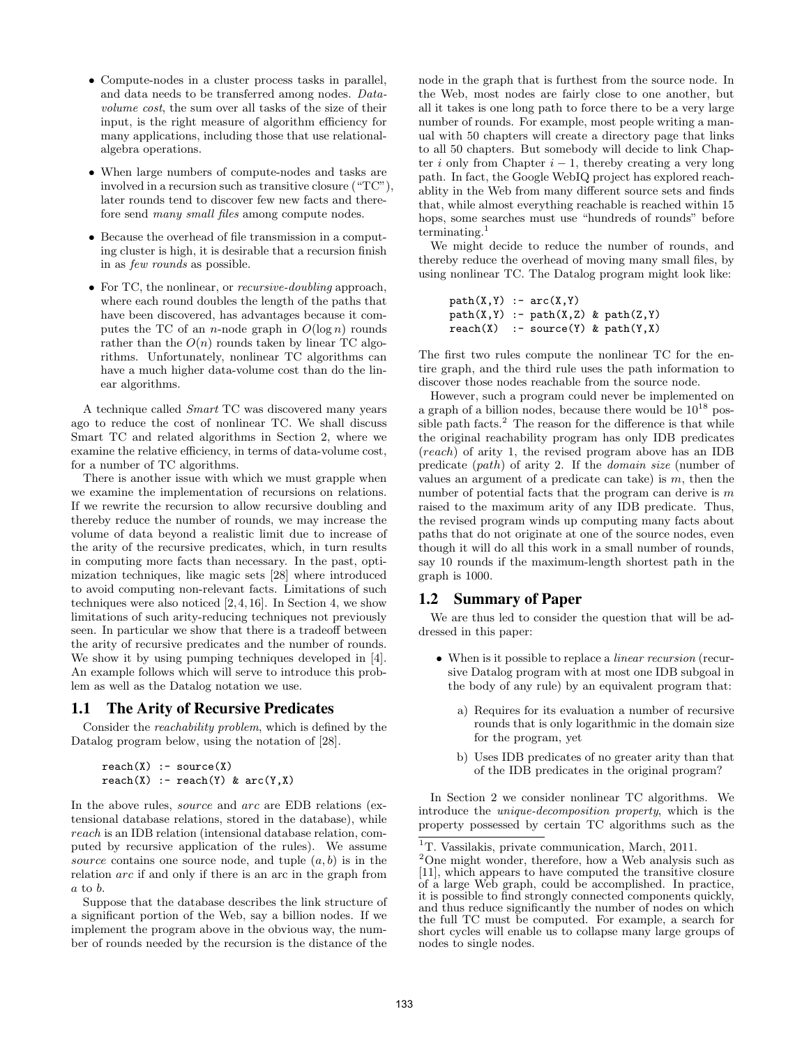- Compute-nodes in a cluster process tasks in parallel, and data needs to be transferred among nodes. Datavolume cost, the sum over all tasks of the size of their input, is the right measure of algorithm efficiency for many applications, including those that use relationalalgebra operations.
- When large numbers of compute-nodes and tasks are involved in a recursion such as transitive closure ("TC"), later rounds tend to discover few new facts and therefore send many small files among compute nodes.
- Because the overhead of file transmission in a computing cluster is high, it is desirable that a recursion finish in as few rounds as possible.
- For TC, the nonlinear, or *recursive-doubling* approach, where each round doubles the length of the paths that have been discovered, has advantages because it computes the TC of an *n*-node graph in  $O(\log n)$  rounds rather than the  $O(n)$  rounds taken by linear TC algorithms. Unfortunately, nonlinear TC algorithms can have a much higher data-volume cost than do the linear algorithms.

A technique called Smart TC was discovered many years ago to reduce the cost of nonlinear TC. We shall discuss Smart TC and related algorithms in Section 2, where we examine the relative efficiency, in terms of data-volume cost, for a number of TC algorithms.

There is another issue with which we must grapple when we examine the implementation of recursions on relations. If we rewrite the recursion to allow recursive doubling and thereby reduce the number of rounds, we may increase the volume of data beyond a realistic limit due to increase of the arity of the recursive predicates, which, in turn results in computing more facts than necessary. In the past, optimization techniques, like magic sets [28] where introduced to avoid computing non-relevant facts. Limitations of such techniques were also noticed [2,4, 16]. In Section 4, we show limitations of such arity-reducing techniques not previously seen. In particular we show that there is a tradeoff between the arity of recursive predicates and the number of rounds. We show it by using pumping techniques developed in [4]. An example follows which will serve to introduce this problem as well as the Datalog notation we use.

## 1.1 The Arity of Recursive Predicates

Consider the reachability problem, which is defined by the Datalog program below, using the notation of [28].

```
reach(X) := source(X)reach(X) := reach(Y) & arc(Y, X)
```
In the above rules, *source* and *arc* are EDB relations (extensional database relations, stored in the database), while reach is an IDB relation (intensional database relation, computed by recursive application of the rules). We assume source contains one source node, and tuple  $(a, b)$  is in the relation arc if and only if there is an arc in the graph from a to b.

Suppose that the database describes the link structure of a significant portion of the Web, say a billion nodes. If we implement the program above in the obvious way, the number of rounds needed by the recursion is the distance of the node in the graph that is furthest from the source node. In the Web, most nodes are fairly close to one another, but all it takes is one long path to force there to be a very large number of rounds. For example, most people writing a manual with 50 chapters will create a directory page that links to all 50 chapters. But somebody will decide to link Chapter i only from Chapter  $i - 1$ , thereby creating a very long path. In fact, the Google WebIQ project has explored reachablity in the Web from many different source sets and finds that, while almost everything reachable is reached within 15 hops, some searches must use "hundreds of rounds" before terminating. $<sup>1</sup>$ </sup>

We might decide to reduce the number of rounds, and thereby reduce the overhead of moving many small files, by using nonlinear TC. The Datalog program might look like:

```
path(X, Y) := arc(X, Y)path(X,Y) :- path(X,Z) & path(Z,Y)reach(X) :- source(Y) & path(Y,X)
```
The first two rules compute the nonlinear TC for the entire graph, and the third rule uses the path information to discover those nodes reachable from the source node.

However, such a program could never be implemented on a graph of a billion nodes, because there would be  $10^{18}$  possible path facts.<sup>2</sup> The reason for the difference is that while the original reachability program has only IDB predicates (reach) of arity 1, the revised program above has an IDB predicate (path) of arity 2. If the domain size (number of values an argument of a predicate can take) is  $m$ , then the number of potential facts that the program can derive is  $m$ raised to the maximum arity of any IDB predicate. Thus, the revised program winds up computing many facts about paths that do not originate at one of the source nodes, even though it will do all this work in a small number of rounds, say 10 rounds if the maximum-length shortest path in the graph is 1000.

## 1.2 Summary of Paper

We are thus led to consider the question that will be addressed in this paper:

- When is it possible to replace a *linear recursion* (recursive Datalog program with at most one IDB subgoal in the body of any rule) by an equivalent program that:
	- a) Requires for its evaluation a number of recursive rounds that is only logarithmic in the domain size for the program, yet
	- b) Uses IDB predicates of no greater arity than that of the IDB predicates in the original program?

In Section 2 we consider nonlinear TC algorithms. We introduce the unique-decomposition property, which is the property possessed by certain TC algorithms such as the

 $^1\mathrm{T}.$  Vassilakis, private communication, March, 2011.

 $2$ One might wonder, therefore, how a Web analysis such as [11], which appears to have computed the transitive closure of a large Web graph, could be accomplished. In practice, it is possible to find strongly connected components quickly, and thus reduce significantly the number of nodes on which the full TC must be computed. For example, a search for short cycles will enable us to collapse many large groups of nodes to single nodes.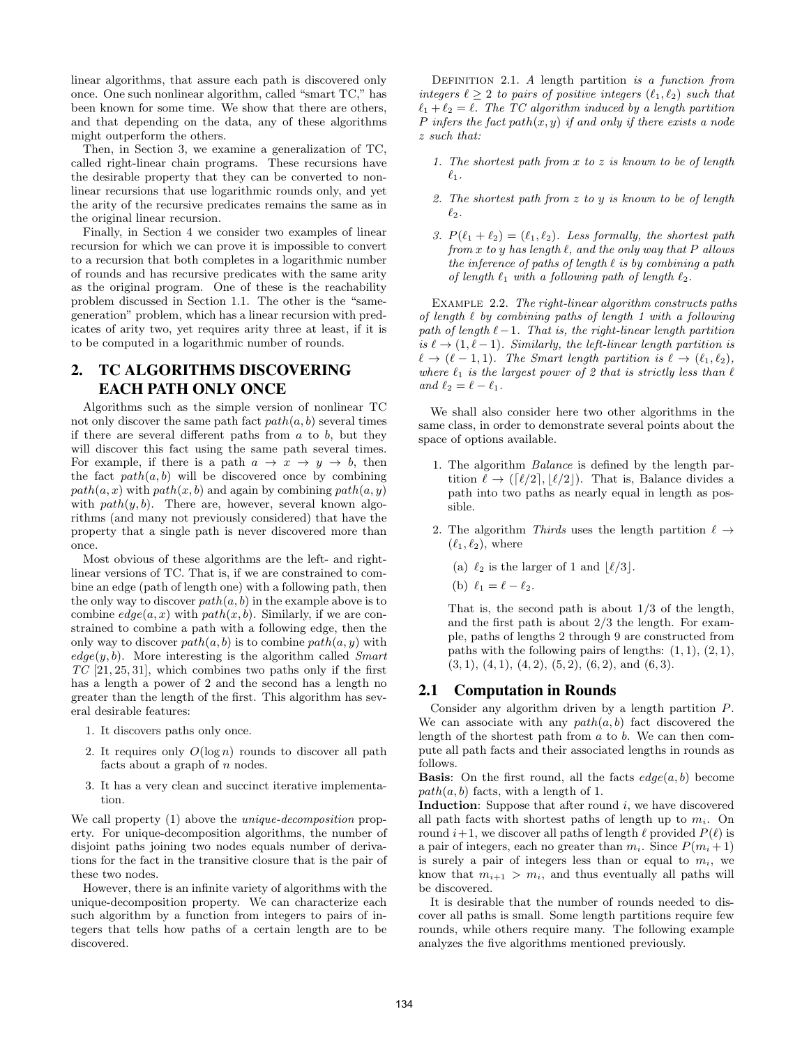linear algorithms, that assure each path is discovered only once. One such nonlinear algorithm, called "smart TC," has been known for some time. We show that there are others, and that depending on the data, any of these algorithms might outperform the others.

Then, in Section 3, we examine a generalization of TC, called right-linear chain programs. These recursions have the desirable property that they can be converted to nonlinear recursions that use logarithmic rounds only, and yet the arity of the recursive predicates remains the same as in the original linear recursion.

Finally, in Section 4 we consider two examples of linear recursion for which we can prove it is impossible to convert to a recursion that both completes in a logarithmic number of rounds and has recursive predicates with the same arity as the original program. One of these is the reachability problem discussed in Section 1.1. The other is the "samegeneration" problem, which has a linear recursion with predicates of arity two, yet requires arity three at least, if it is to be computed in a logarithmic number of rounds.

# 2. TC ALGORITHMS DISCOVERING EACH PATH ONLY ONCE

Algorithms such as the simple version of nonlinear TC not only discover the same path fact  $path(a, b)$  several times if there are several different paths from  $a$  to  $b$ , but they will discover this fact using the same path several times. For example, if there is a path  $a \to x \to y \to b$ , then the fact  $path(a, b)$  will be discovered once by combining  $path(a, x)$  with  $path(x, b)$  and again by combining  $path(a, y)$ with  $path(y, b)$ . There are, however, several known algorithms (and many not previously considered) that have the property that a single path is never discovered more than once.

Most obvious of these algorithms are the left- and rightlinear versions of TC. That is, if we are constrained to combine an edge (path of length one) with a following path, then the only way to discover  $path(a, b)$  in the example above is to combine  $edge(a, x)$  with  $path(x, b)$ . Similarly, if we are constrained to combine a path with a following edge, then the only way to discover  $path(a, b)$  is to combine  $path(a, y)$  with  $edge(y, b)$ . More interesting is the algorithm called *Smart*  $TC$  [21, 25, 31], which combines two paths only if the first has a length a power of 2 and the second has a length no greater than the length of the first. This algorithm has several desirable features:

- 1. It discovers paths only once.
- 2. It requires only  $O(\log n)$  rounds to discover all path facts about a graph of  $n$  nodes.
- 3. It has a very clean and succinct iterative implementation.

We call property (1) above the *unique-decomposition* property. For unique-decomposition algorithms, the number of disjoint paths joining two nodes equals number of derivations for the fact in the transitive closure that is the pair of these two nodes.

However, there is an infinite variety of algorithms with the unique-decomposition property. We can characterize each such algorithm by a function from integers to pairs of integers that tells how paths of a certain length are to be discovered.

DEFINITION 2.1. A length partition is a function from integers  $\ell > 2$  to pairs of positive integers  $(\ell_1, \ell_2)$  such that  $\ell_1 + \ell_2 = \ell$ . The TC algorithm induced by a length partition P infers the fact path $(x, y)$  if and only if there exists a node z such that:

- 1. The shortest path from  $x$  to  $z$  is known to be of length  $\ell_1$ .
- 2. The shortest path from z to y is known to be of length  $\ell_2$ .
- 3.  $P(\ell_1 + \ell_2) = (\ell_1, \ell_2)$ . Less formally, the shortest path from x to y has length  $\ell$ , and the only way that P allows the inference of paths of length  $\ell$  is by combining a path of length  $\ell_1$  with a following path of length  $\ell_2$ .

Example 2.2. The right-linear algorithm constructs paths of length  $\ell$  by combining paths of length 1 with a following path of length  $\ell-1$ . That is, the right-linear length partition is  $\ell \to (1, \ell - 1)$ . Similarly, the left-linear length partition is  $\ell \to (\ell - 1, 1)$ . The Smart length partition is  $\ell \to (\ell_1, \ell_2)$ , where  $\ell_1$  is the largest power of 2 that is strictly less than  $\ell$ and  $\ell_2 = \ell - \ell_1$ .

We shall also consider here two other algorithms in the same class, in order to demonstrate several points about the space of options available.

- 1. The algorithm Balance is defined by the length partition  $\ell \to (\lceil \ell/2 \rceil, \lceil \ell/2 \rceil)$ . That is, Balance divides a path into two paths as nearly equal in length as possible.
- 2. The algorithm Thirds uses the length partition  $\ell \rightarrow$  $(\ell_1, \ell_2)$ , where
	- (a)  $\ell_2$  is the larger of 1 and  $\lfloor \ell/3 \rfloor$ .
	- (b)  $\ell_1 = \ell \ell_2$ .

That is, the second path is about  $1/3$  of the length, and the first path is about  $2/3$  the length. For example, paths of lengths 2 through 9 are constructed from paths with the following pairs of lengths:  $(1, 1), (2, 1),$  $(3, 1), (4, 1), (4, 2), (5, 2), (6, 2), \text{ and } (6, 3).$ 

# 2.1 Computation in Rounds

Consider any algorithm driven by a length partition P. We can associate with any  $path(a, b)$  fact discovered the length of the shortest path from a to b. We can then compute all path facts and their associated lengths in rounds as follows.

**Basis:** On the first round, all the facts  $edge(a, b)$  become  $path(a, b)$  facts, with a length of 1.

Induction: Suppose that after round  $i$ , we have discovered all path facts with shortest paths of length up to  $m_i$ . On round  $i+1$ , we discover all paths of length  $\ell$  provided  $P(\ell)$  is a pair of integers, each no greater than  $m_i$ . Since  $P(m_i+1)$ is surely a pair of integers less than or equal to  $m_i$ , we know that  $m_{i+1} > m_i$ , and thus eventually all paths will be discovered.

It is desirable that the number of rounds needed to discover all paths is small. Some length partitions require few rounds, while others require many. The following example analyzes the five algorithms mentioned previously.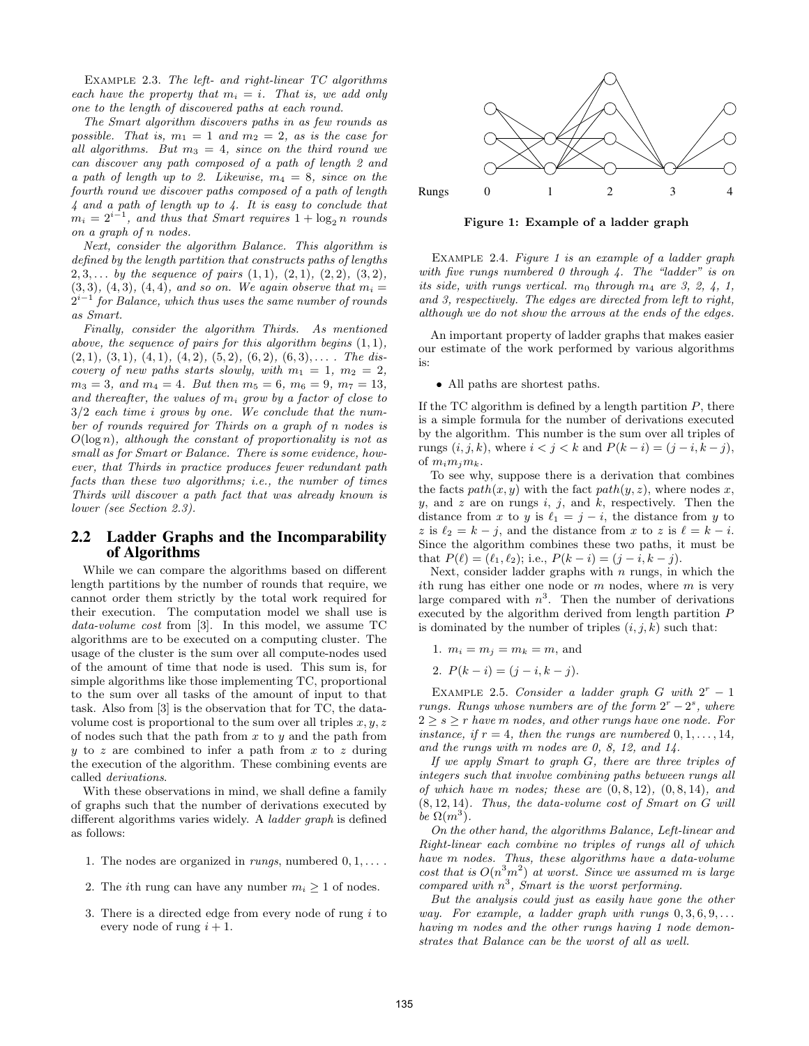EXAMPLE 2.3. The left- and right-linear TC algorithms each have the property that  $m_i = i$ . That is, we add only one to the length of discovered paths at each round.

The Smart algorithm discovers paths in as few rounds as possible. That is,  $m_1 = 1$  and  $m_2 = 2$ , as is the case for all algorithms. But  $m_3 = 4$ , since on the third round we can discover any path composed of a path of length 2 and a path of length up to 2. Likewise,  $m_4 = 8$ , since on the fourth round we discover paths composed of a path of length 4 and a path of length up to 4. It is easy to conclude that  $m_i = 2^{i-1}$ , and thus that Smart requires  $1 + \log_2 n$  rounds on a graph of n nodes.

Next, consider the algorithm Balance. This algorithm is defined by the length partition that constructs paths of lengths 2, 3, ... by the sequence of pairs  $(1, 1), (2, 1), (2, 2), (3, 2),$  $(3, 3), (4, 3), (4, 4), and so on. We again observe that  $m_i =$$  $2^{i-1}$  for Balance, which thus uses the same number of rounds as Smart.

Finally, consider the algorithm Thirds. As mentioned above, the sequence of pairs for this algorithm begins  $(1, 1)$ ,  $(2, 1), (3, 1), (4, 1), (4, 2), (5, 2), (6, 2), (6, 3), \ldots$  The discovery of new paths starts slowly, with  $m_1 = 1$ ,  $m_2 = 2$ ,  $m_3 = 3$ , and  $m_4 = 4$ . But then  $m_5 = 6$ ,  $m_6 = 9$ ,  $m_7 = 13$ , and thereafter, the values of  $m_i$  grow by a factor of close to  $3/2$  each time i grows by one. We conclude that the number of rounds required for Thirds on a graph of n nodes is  $O(\log n)$ , although the constant of proportionality is not as small as for Smart or Balance. There is some evidence, however, that Thirds in practice produces fewer redundant path facts than these two algorithms; i.e., the number of times Thirds will discover a path fact that was already known is lower (see Section 2.3).

## 2.2 Ladder Graphs and the Incomparability of Algorithms

While we can compare the algorithms based on different length partitions by the number of rounds that require, we cannot order them strictly by the total work required for their execution. The computation model we shall use is data-volume cost from [3]. In this model, we assume TC algorithms are to be executed on a computing cluster. The usage of the cluster is the sum over all compute-nodes used of the amount of time that node is used. This sum is, for simple algorithms like those implementing TC, proportional to the sum over all tasks of the amount of input to that task. Also from [3] is the observation that for TC, the datavolume cost is proportional to the sum over all triples  $x, y, z$ of nodes such that the path from  $x$  to  $y$  and the path from y to z are combined to infer a path from  $x$  to z during the execution of the algorithm. These combining events are called derivations.

With these observations in mind, we shall define a family of graphs such that the number of derivations executed by different algorithms varies widely. A *ladder graph* is defined as follows:

- 1. The nodes are organized in *rungs*, numbered  $0, 1, \ldots$ .
- 2. The *i*th rung can have any number  $m_i \geq 1$  of nodes.
- 3. There is a directed edge from every node of rung  $i$  to every node of rung  $i + 1$ .



Figure 1: Example of a ladder graph

EXAMPLE 2.4. Figure 1 is an example of a ladder graph with five rungs numbered 0 through 4. The "ladder" is on its side, with rungs vertical.  $m_0$  through  $m_4$  are 3, 2, 4, 1, and 3, respectively. The edges are directed from left to right, although we do not show the arrows at the ends of the edges.

An important property of ladder graphs that makes easier our estimate of the work performed by various algorithms is:

• All paths are shortest paths.

If the TC algorithm is defined by a length partition  $P$ , there is a simple formula for the number of derivations executed by the algorithm. This number is the sum over all triples of rungs  $(i, j, k)$ , where  $i < j < k$  and  $P(k - i) = (j - i, k - j)$ , of  $m_i m_j m_k$ .

To see why, suppose there is a derivation that combines the facts  $path(x, y)$  with the fact  $path(y, z)$ , where nodes x,  $y$ , and  $z$  are on rungs  $i$ ,  $j$ , and  $k$ , respectively. Then the distance from x to y is  $\ell_1 = j - i$ , the distance from y to z is  $\ell_2 = k - j$ , and the distance from x to z is  $\ell = k - i$ . Since the algorithm combines these two paths, it must be that  $P(\ell) = (\ell_1, \ell_2)$ ; i.e.,  $P(k - i) = (j - i, k - j)$ .

Next, consider ladder graphs with  $n$  rungs, in which the ith rung has either one node or  $m$  nodes, where  $m$  is very large compared with  $n^3$ . Then the number of derivations executed by the algorithm derived from length partition P is dominated by the number of triples  $(i, j, k)$  such that:

1.  $m_i = m_j = m_k = m$ , and

2.  $P(k - i) = (i - i, k - i)$ .

EXAMPLE 2.5. Consider a ladder graph  $G$  with  $2^r - 1$ rungs. Rungs whose numbers are of the form  $2^r - 2^s$ , where  $2 \geq s \geq r$  have m nodes, and other rungs have one node. For instance, if  $r = 4$ , then the rungs are numbered  $0, 1, \ldots, 14$ , and the rungs with m nodes are 0, 8, 12, and 14.

If we apply Smart to graph G, there are three triples of integers such that involve combining paths between rungs all of which have m nodes; these are  $(0, 8, 12)$ ,  $(0, 8, 14)$ , and  $(8, 12, 14)$ . Thus, the data-volume cost of Smart on G will  $be^{\alpha} \Omega(m^3)$ .

On the other hand, the algorithms Balance, Left-linear and Right-linear each combine no triples of rungs all of which have m nodes. Thus, these algorithms have a data-volume cost that is  $O(n^3m^2)$  at worst. Since we assumed m is large compared with  $n^3$ , Smart is the worst performing.

But the analysis could just as easily have gone the other way. For example, a ladder graph with rungs  $0, 3, 6, 9, \ldots$ having m nodes and the other rungs having 1 node demonstrates that Balance can be the worst of all as well.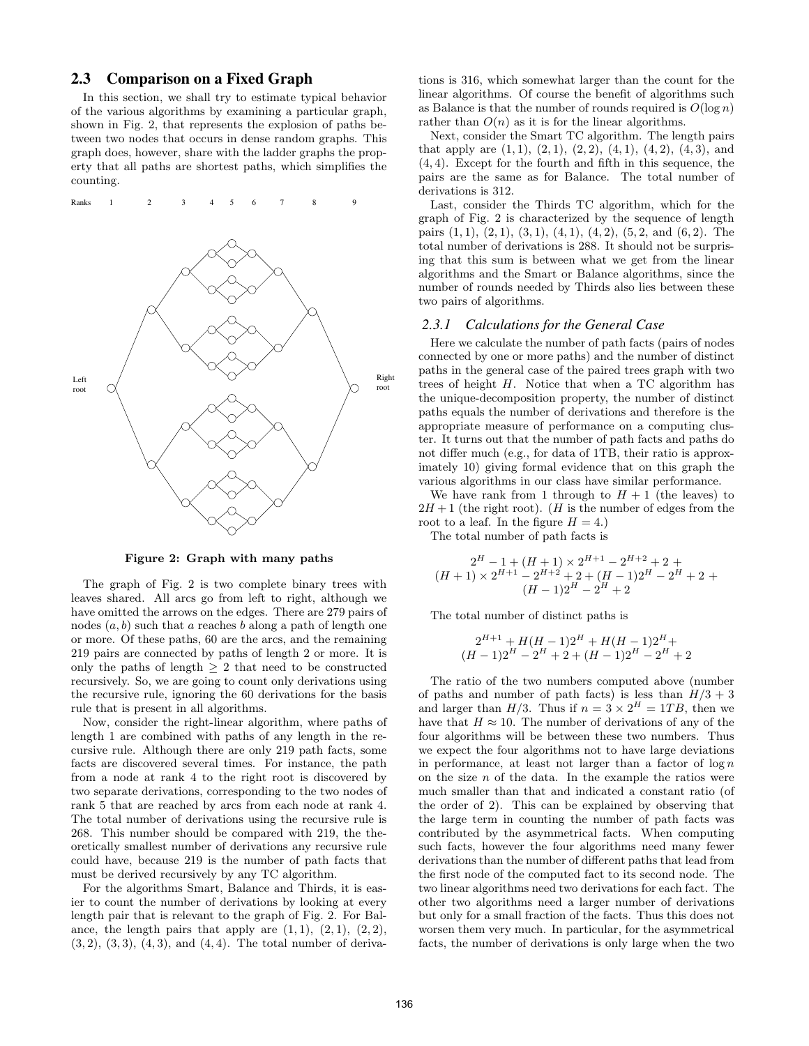## 2.3 Comparison on a Fixed Graph

In this section, we shall try to estimate typical behavior of the various algorithms by examining a particular graph, shown in Fig. 2, that represents the explosion of paths between two nodes that occurs in dense random graphs. This graph does, however, share with the ladder graphs the property that all paths are shortest paths, which simplifies the counting.



Figure 2: Graph with many paths

The graph of Fig. 2 is two complete binary trees with leaves shared. All arcs go from left to right, although we have omitted the arrows on the edges. There are 279 pairs of nodes  $(a, b)$  such that a reaches b along a path of length one or more. Of these paths, 60 are the arcs, and the remaining 219 pairs are connected by paths of length 2 or more. It is only the paths of length  $\geq 2$  that need to be constructed recursively. So, we are going to count only derivations using the recursive rule, ignoring the 60 derivations for the basis rule that is present in all algorithms.

Now, consider the right-linear algorithm, where paths of length 1 are combined with paths of any length in the recursive rule. Although there are only 219 path facts, some facts are discovered several times. For instance, the path from a node at rank 4 to the right root is discovered by two separate derivations, corresponding to the two nodes of rank 5 that are reached by arcs from each node at rank 4. The total number of derivations using the recursive rule is 268. This number should be compared with 219, the theoretically smallest number of derivations any recursive rule could have, because 219 is the number of path facts that must be derived recursively by any TC algorithm.

For the algorithms Smart, Balance and Thirds, it is easier to count the number of derivations by looking at every length pair that is relevant to the graph of Fig. 2. For Balance, the length pairs that apply are  $(1, 1)$ ,  $(2, 1)$ ,  $(2, 2)$ ,  $(3, 2), (3, 3), (4, 3),$  and  $(4, 4)$ . The total number of derivations is 316, which somewhat larger than the count for the linear algorithms. Of course the benefit of algorithms such as Balance is that the number of rounds required is  $O(\log n)$ rather than  $O(n)$  as it is for the linear algorithms.

Next, consider the Smart TC algorithm. The length pairs that apply are  $(1, 1), (2, 1), (2, 2), (4, 1), (4, 2), (4, 3),$  and (4, 4). Except for the fourth and fifth in this sequence, the pairs are the same as for Balance. The total number of derivations is 312.

Last, consider the Thirds TC algorithm, which for the graph of Fig. 2 is characterized by the sequence of length pairs  $(1, 1), (2, 1), (3, 1), (4, 1), (4, 2), (5, 2, and (6, 2).$  The total number of derivations is 288. It should not be surprising that this sum is between what we get from the linear algorithms and the Smart or Balance algorithms, since the number of rounds needed by Thirds also lies between these two pairs of algorithms.

#### *2.3.1 Calculations for the General Case*

Here we calculate the number of path facts (pairs of nodes connected by one or more paths) and the number of distinct paths in the general case of the paired trees graph with two trees of height H. Notice that when a TC algorithm has the unique-decomposition property, the number of distinct paths equals the number of derivations and therefore is the appropriate measure of performance on a computing cluster. It turns out that the number of path facts and paths do not differ much (e.g., for data of 1TB, their ratio is approximately 10) giving formal evidence that on this graph the various algorithms in our class have similar performance.

We have rank from 1 through to  $H + 1$  (the leaves) to  $2H+1$  (the right root). (H is the number of edges from the root to a leaf. In the figure  $H = 4$ .)

The total number of path facts is

$$
2^H - 1 + (H+1) \times 2^{H+1} - 2^{H+2} + 2 +
$$
  

$$
(H+1) \times 2^{H+1} - 2^{H+2} + 2 + (H-1)2^H - 2^H + 2 +
$$
  

$$
(H-1)2^H - 2^H + 2
$$

The total number of distinct paths is

$$
2^{H+1} + H(H-1)2^{H} + H(H-1)2^{H} +
$$
  

$$
(H-1)2^{H} - 2^{H} + 2 + (H-1)2^{H} - 2^{H} + 2
$$

The ratio of the two numbers computed above (number of paths and number of path facts) is less than  $H/3 + 3$ and larger than  $H/3$ . Thus if  $n = 3 \times 2^H = 1TB$ , then we have that  $H \approx 10$ . The number of derivations of any of the four algorithms will be between these two numbers. Thus we expect the four algorithms not to have large deviations in performance, at least not larger than a factor of  $\log n$ on the size  $n$  of the data. In the example the ratios were much smaller than that and indicated a constant ratio (of the order of 2). This can be explained by observing that the large term in counting the number of path facts was contributed by the asymmetrical facts. When computing such facts, however the four algorithms need many fewer derivations than the number of different paths that lead from the first node of the computed fact to its second node. The two linear algorithms need two derivations for each fact. The other two algorithms need a larger number of derivations but only for a small fraction of the facts. Thus this does not worsen them very much. In particular, for the asymmetrical facts, the number of derivations is only large when the two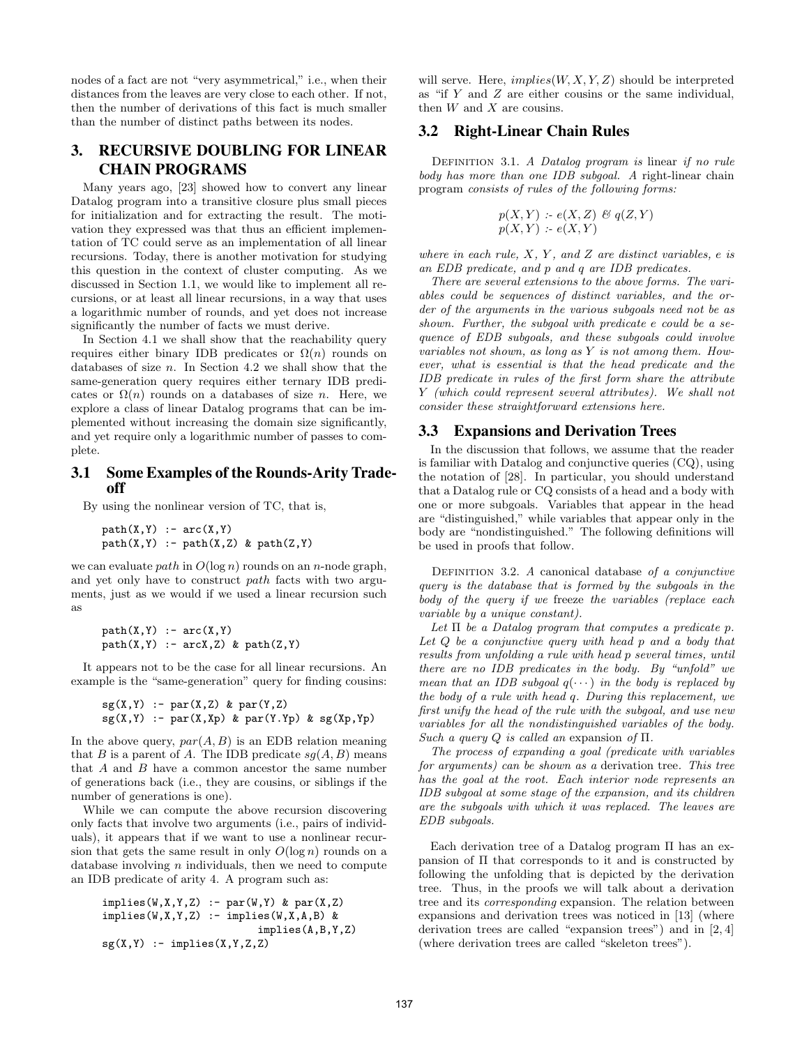nodes of a fact are not "very asymmetrical," i.e., when their distances from the leaves are very close to each other. If not, then the number of derivations of this fact is much smaller than the number of distinct paths between its nodes.

# 3. RECURSIVE DOUBLING FOR LINEAR CHAIN PROGRAMS

Many years ago, [23] showed how to convert any linear Datalog program into a transitive closure plus small pieces for initialization and for extracting the result. The motivation they expressed was that thus an efficient implementation of TC could serve as an implementation of all linear recursions. Today, there is another motivation for studying this question in the context of cluster computing. As we discussed in Section 1.1, we would like to implement all recursions, or at least all linear recursions, in a way that uses a logarithmic number of rounds, and yet does not increase significantly the number of facts we must derive.

In Section 4.1 we shall show that the reachability query requires either binary IDB predicates or  $\Omega(n)$  rounds on databases of size  $n$ . In Section 4.2 we shall show that the same-generation query requires either ternary IDB predicates or  $\Omega(n)$  rounds on a databases of size n. Here, we explore a class of linear Datalog programs that can be implemented without increasing the domain size significantly, and yet require only a logarithmic number of passes to complete.

## 3.1 Some Examples of the Rounds-Arity Tradeoff

By using the nonlinear version of TC, that is,

```
path(X, Y) := arc(X, Y)path(X, Y) :- path(X, Z) & path(Z, Y)
```
we can evaluate path in  $O(\log n)$  rounds on an n-node graph, and yet only have to construct path facts with two arguments, just as we would if we used a linear recursion such as

```
path(X, Y) := arc(X, Y)path(X, Y) :- arcX, Z) & path(Z, Y)
```
It appears not to be the case for all linear recursions. An example is the "same-generation" query for finding cousins:

```
sg(X,Y) := par(X,Z) & par(Y,Z)sg(X,Y) :- par(X,Xp) & par(Y,Yp) & sg(Xp,Yp)
```
In the above query,  $par(A, B)$  is an EDB relation meaning that B is a parent of A. The IDB predicate  $sg(A, B)$  means that  $A$  and  $B$  have a common ancestor the same number of generations back (i.e., they are cousins, or siblings if the number of generations is one).

While we can compute the above recursion discovering only facts that involve two arguments (i.e., pairs of individuals), it appears that if we want to use a nonlinear recursion that gets the same result in only  $O(\log n)$  rounds on a database involving  $n$  individuals, then we need to compute an IDB predicate of arity 4. A program such as:

```
implies(W, X, Y, Z) :- par(W,Y) & par(X,Z)
implies(W, X, Y, Z) :- implies(W, X, A, B) &
                           implies(A,B,Y,Z)
sg(X,Y) :- implies(X,Y,Z,Z)
```
will serve. Here,  $implies(W, X, Y, Z)$  should be interpreted as "if Y and Z are either cousins or the same individual, then  $W$  and  $X$  are cousins.

# 3.2 Right-Linear Chain Rules

DEFINITION 3.1. A Datalog program is linear if no rule body has more than one IDB subgoal. A right-linear chain program consists of rules of the following forms:

$$
p(X,Y) := e(X,Z) \; \mathcal{C}q(Z,Y)
$$
  

$$
p(X,Y) := e(X,Y)
$$

where in each rule,  $X$ ,  $Y$ , and  $Z$  are distinct variables,  $e$  is an EDB predicate, and p and q are IDB predicates.

There are several extensions to the above forms. The variables could be sequences of distinct variables, and the order of the arguments in the various subgoals need not be as shown. Further, the subgoal with predicate e could be a sequence of EDB subgoals, and these subgoals could involve variables not shown, as long as Y is not among them. However, what is essential is that the head predicate and the IDB predicate in rules of the first form share the attribute Y (which could represent several attributes). We shall not consider these straightforward extensions here.

## 3.3 Expansions and Derivation Trees

In the discussion that follows, we assume that the reader is familiar with Datalog and conjunctive queries (CQ), using the notation of [28]. In particular, you should understand that a Datalog rule or CQ consists of a head and a body with one or more subgoals. Variables that appear in the head are "distinguished," while variables that appear only in the body are "nondistinguished." The following definitions will be used in proofs that follow.

DEFINITION 3.2. A canonical database of a conjunctive query is the database that is formed by the subgoals in the body of the query if we freeze the variables (replace each variable by a unique constant).

Let  $\Pi$  be a Datalog program that computes a predicate p. Let  $Q$  be a conjunctive query with head  $p$  and a body that results from unfolding a rule with head p several times, until there are no IDB predicates in the body. By "unfold" we mean that an IDB subgoal  $q(\cdots)$  in the body is replaced by the body of a rule with head q. During this replacement, we first unify the head of the rule with the subgoal, and use new variables for all the nondistinguished variables of the body. Such a query Q is called an expansion of  $\Pi$ .

The process of expanding a goal (predicate with variables for arguments) can be shown as a derivation tree. This tree has the goal at the root. Each interior node represents an IDB subgoal at some stage of the expansion, and its children are the subgoals with which it was replaced. The leaves are EDB subgoals.

Each derivation tree of a Datalog program Π has an expansion of Π that corresponds to it and is constructed by following the unfolding that is depicted by the derivation tree. Thus, in the proofs we will talk about a derivation tree and its corresponding expansion. The relation between expansions and derivation trees was noticed in [13] (where derivation trees are called "expansion trees") and in [2, 4] (where derivation trees are called "skeleton trees").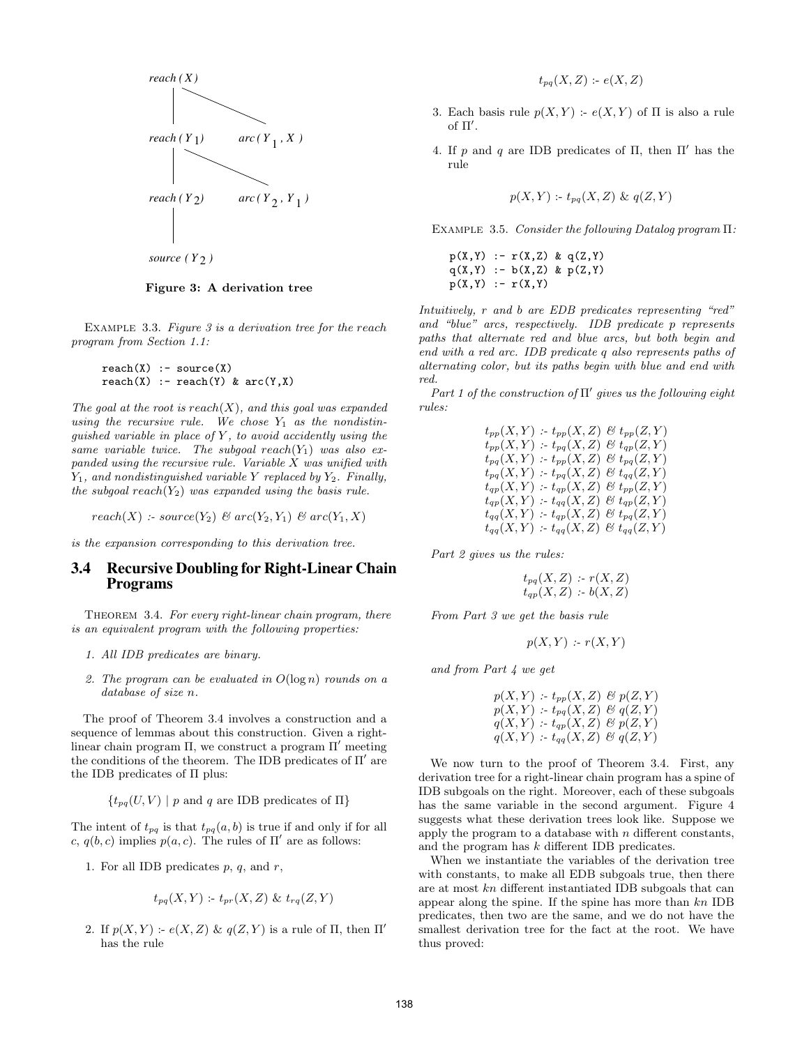

Figure 3: A derivation tree

EXAMPLE 3.3. Figure  $3$  is a derivation tree for the reach program from Section 1.1:

```
reach(X) :- source(X)reach(X) := reach(Y) & arc(Y,X)
```
The goal at the root is  $reach(X)$ , and this goal was expanded using the recursive rule. We chose  $Y_1$  as the nondistinguished variable in place of  $Y$ , to avoid accidently using the same variable twice. The subgoal reach $(Y_1)$  was also expanded using the recursive rule. Variable X was unified with  $Y_1$ , and nondistinguished variable Y replaced by  $Y_2$ . Finally, the subgoal reach( $Y_2$ ) was expanded using the basis rule.

 $reach(X)$  :- source(Y<sub>2</sub>) & arc(Y<sub>2</sub>, Y<sub>1</sub>) & arc(Y<sub>1</sub>, X)

is the expansion corresponding to this derivation tree.

## 3.4 Recursive Doubling for Right-Linear Chain Programs

THEOREM 3.4. For every right-linear chain program, there is an equivalent program with the following properties:

- 1. All IDB predicates are binary.
- 2. The program can be evaluated in  $O(\log n)$  rounds on a database of size n.

The proof of Theorem 3.4 involves a construction and a sequence of lemmas about this construction. Given a rightlinear chain program Π, we construct a program Π′ meeting the conditions of the theorem. The IDB predicates of  $\Pi'$  are the IDB predicates of Π plus:

 ${t_{pq}(U, V) \mid p \text{ and } q \text{ are IDE predicates of } \Pi}$ 

The intent of  $t_{pq}$  is that  $t_{pq}(a, b)$  is true if and only if for all c,  $q(b, c)$  implies  $p(a, c)$ . The rules of  $\Pi'$  are as follows:

1. For all IDB predicates  $p, q$ , and  $r$ ,

$$
t_{pq}(X,Y) \text{ :- } t_{pr}(X,Z) \text{ \& } t_{rq}(Z,Y)
$$

2. If  $p(X, Y) = e(X, Z) \& q(Z, Y)$  is a rule of  $\Pi$ , then  $\Pi'$ has the rule

 $t_{pq}(X, Z)$  :-  $e(X, Z)$ 

- 3. Each basis rule  $p(X, Y)$  :-  $e(X, Y)$  of  $\Pi$  is also a rule of  $\Pi'$ .
- 4. If p and q are IDB predicates of  $\Pi$ , then  $\Pi'$  has the rule

$$
p(X,Y) : t_{pq}(X,Z) \& q(Z,Y)
$$

Example 3.5. Consider the following Datalog program Π:

 $p(X,Y) := r(X,Z)$  & q(Z,Y)  $q(X,Y) := b(X,Z)$  &  $p(Z,Y)$  $p(X,Y)$  :-  $r(X,Y)$ 

Intuitively, r and b are EDB predicates representing "red" and "blue" arcs, respectively. IDB predicate p represents paths that alternate red and blue arcs, but both begin and end with a red arc. IDB predicate q also represents paths of alternating color, but its paths begin with blue and end with red.

Part 1 of the construction of  $\Pi'$  gives us the following eight rules:

> $t_{pp}(X,Y)$  :-  $t_{pp}(X,Z)$  &  $t_{pp}(Z,Y)$  $t_{pp}(X,Y)$  :-  $t_{pq}(X,Z)$  &  $t_{qp}(Z,Y)$  $t_{pq}(X, Y)$  :-  $t_{pp}(X, Z)$  &  $t_{pq}(Z, Y)$  $t_{pq}(X, Y)$  :-  $t_{pq}(X, Z)$  &  $t_{qq}(Z, Y)$  $t_{qp}(X,Y)$  :-  $t_{qp}(X,Z)$  &  $t_{pp}(Z,Y)$  $t_{qp}(X,Y)$  :-  $t_{qq}(X,Z)$  &  $t_{qp}(Z,Y)$  $t_{qq}(X, Y)$  :-  $t_{qp}(X, Z)$  &  $t_{pq}(Z, Y)$  $t_{qq}(X, Y)$  :-  $t_{qq}(X, Z)$  &  $t_{qq}(Z, Y)$

Part 2 gives us the rules:

$$
t_{pq}(X,Z) := r(X,Z)
$$
  

$$
t_{qp}(X,Z) := b(X,Z)
$$

From Part 3 we get the basis rule

 $p(X, Y)$  :-  $r(X, Y)$ 

and from Part 4 we get

 $p(X, Y)$ :  $t_{pp}(X, Z)$  &  $p(Z, Y)$  $p(X, Y) : t_{pq}(X, Z) \& q(Z, Y)$  $q(X, Y)$  :-  $t_{qp}(X, Z)$  &  $p(Z, Y)$  $q(X, Y)$  :-  $t_{qq}(X, Z)$  &  $q(Z, Y)$ 

We now turn to the proof of Theorem 3.4. First, any derivation tree for a right-linear chain program has a spine of IDB subgoals on the right. Moreover, each of these subgoals has the same variable in the second argument. Figure 4 suggests what these derivation trees look like. Suppose we apply the program to a database with  $n$  different constants, and the program has k different IDB predicates.

When we instantiate the variables of the derivation tree with constants, to make all EDB subgoals true, then there are at most kn different instantiated IDB subgoals that can appear along the spine. If the spine has more than  $kn$  IDB predicates, then two are the same, and we do not have the smallest derivation tree for the fact at the root. We have thus proved: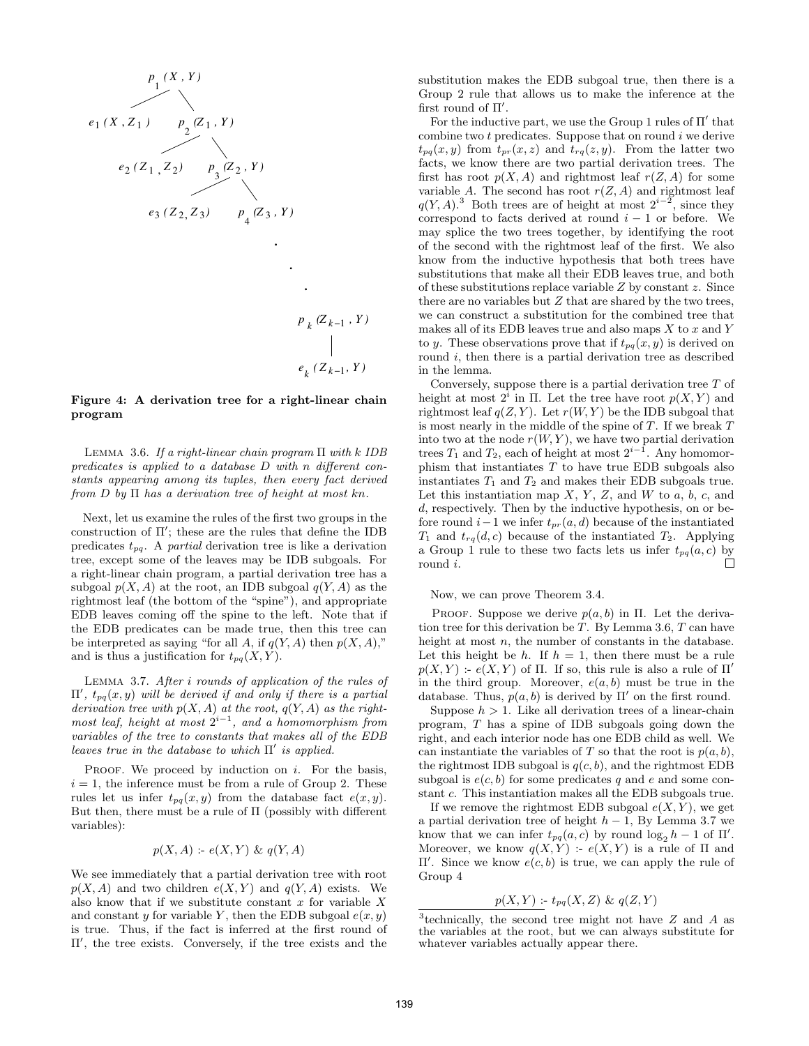

 $p_{k}$  (Z<sub>k-1</sub>, Y)  $e_{k}$  (Z<sub>k-1</sub>, Y) *(*

*k*

**. .**

Figure 4: A derivation tree for a right-linear chain program

LEMMA 3.6. If a right-linear chain program  $\Pi$  with k IDB predicates is applied to a database D with n different constants appearing among its tuples, then every fact derived from  $D$  by  $\Pi$  has a derivation tree of height at most kn.

Next, let us examine the rules of the first two groups in the construction of Π′ ; these are the rules that define the IDB predicates  $t_{pq}$ . A *partial* derivation tree is like a derivation tree, except some of the leaves may be IDB subgoals. For a right-linear chain program, a partial derivation tree has a subgoal  $p(X, A)$  at the root, an IDB subgoal  $q(Y, A)$  as the rightmost leaf (the bottom of the "spine"), and appropriate EDB leaves coming off the spine to the left. Note that if the EDB predicates can be made true, then this tree can be interpreted as saying "for all A, if  $q(Y, A)$  then  $p(X, A)$ ," and is thus a justification for  $t_{pq}(X, Y)$ .

Lemma 3.7. After i rounds of application of the rules of  $\Pi'$ ,  $t_{pq}(x, y)$  will be derived if and only if there is a partial derivation tree with  $p(X, A)$  at the root,  $q(Y, A)$  as the rightmost leaf, height at most  $2^{i-1}$ , and a homomorphism from variables of the tree to constants that makes all of the EDB leaves true in the database to which  $\Pi'$  is applied.

PROOF. We proceed by induction on  $i$ . For the basis,  $i = 1$ , the inference must be from a rule of Group 2. These rules let us infer  $t_{pq}(x, y)$  from the database fact  $e(x, y)$ . But then, there must be a rule of  $\Pi$  (possibly with different variables):

$$
p(X, A) \text{ :- } e(X, Y) \& q(Y, A)
$$

We see immediately that a partial derivation tree with root  $p(X, A)$  and two children  $e(X, Y)$  and  $q(Y, A)$  exists. We also know that if we substitute constant  $x$  for variable  $X$ and constant y for variable Y, then the EDB subgoal  $e(x, y)$ is true. Thus, if the fact is inferred at the first round of Π ′ , the tree exists. Conversely, if the tree exists and the

substitution makes the EDB subgoal true, then there is a Group 2 rule that allows us to make the inference at the first round of  $\Pi'$ .

For the inductive part, we use the Group 1 rules of  $\Pi'$  that combine two  $t$  predicates. Suppose that on round  $i$  we derive  $t_{pq}(x, y)$  from  $t_{pr}(x, z)$  and  $t_{rq}(z, y)$ . From the latter two facts, we know there are two partial derivation trees. The first has root  $p(X, A)$  and rightmost leaf  $r(Z, A)$  for some variable A. The second has root  $r(Z, A)$  and rightmost leaf  $q(Y, A)$ .<sup>3</sup> Both trees are of height at most  $2^{i-2}$ , since they correspond to facts derived at round  $i - 1$  or before. We may splice the two trees together, by identifying the root of the second with the rightmost leaf of the first. We also know from the inductive hypothesis that both trees have substitutions that make all their EDB leaves true, and both of these substitutions replace variable  $Z$  by constant  $z$ . Since there are no variables but  $Z$  that are shared by the two trees, we can construct a substitution for the combined tree that makes all of its EDB leaves true and also maps  $X$  to  $x$  and  $Y$ to y. These observations prove that if  $t_{pq}(x, y)$  is derived on round  $i$ , then there is a partial derivation tree as described in the lemma.

Conversely, suppose there is a partial derivation tree  $T$  of height at most  $2^i$  in  $\Pi$ . Let the tree have root  $p(X, Y)$  and rightmost leaf  $q(Z, Y)$ . Let  $r(W, Y)$  be the IDB subgoal that is most nearly in the middle of the spine of  $T$ . If we break  $T$ into two at the node  $r(W, Y)$ , we have two partial derivation trees  $T_1$  and  $T_2$ , each of height at most  $2^{i-1}$ . Any homomorphism that instantiates  $T$  to have true EDB subgoals also instantiates  $T_1$  and  $T_2$  and makes their EDB subgoals true. Let this instantiation map  $X, Y, Z$ , and  $W$  to  $a, b, c$ , and d, respectively. Then by the inductive hypothesis, on or before round  $i-1$  we infer  $t_{pr}(a, d)$  because of the instantiated  $T_1$  and  $t_{rq}(d, c)$  because of the instantiated  $T_2$ . Applying a Group 1 rule to these two facts lets us infer  $t_{pq}(a, c)$  by round i.  $\Box$ 

Now, we can prove Theorem 3.4.

PROOF. Suppose we derive  $p(a, b)$  in Π. Let the derivation tree for this derivation be  $T$ . By Lemma 3.6,  $T$  can have height at most  $n$ , the number of constants in the database. Let this height be h. If  $h = 1$ , then there must be a rule  $p(X, Y) = e(X, Y)$  of  $\Pi$ . If so, this rule is also a rule of  $\Pi'$ in the third group. Moreover,  $e(a, b)$  must be true in the database. Thus,  $p(a, b)$  is derived by  $\Pi'$  on the first round.

Suppose  $h > 1$ . Like all derivation trees of a linear-chain program, T has a spine of IDB subgoals going down the right, and each interior node has one EDB child as well. We can instantiate the variables of T so that the root is  $p(a, b)$ , the rightmost IDB subgoal is  $q(c, b)$ , and the rightmost EDB subgoal is  $e(c, b)$  for some predicates q and e and some constant c. This instantiation makes all the EDB subgoals true.

If we remove the rightmost EDB subgoal  $e(X, Y)$ , we get a partial derivation tree of height  $h - 1$ , By Lemma 3.7 we know that we can infer  $t_{pq}(a, c)$  by round  $\log_2 h - 1$  of  $\Pi'$ . Moreover, we know  $q(X, Y)$  :-  $e(X, Y)$  is a rule of  $\Pi$  and Π'. Since we know  $e(c, b)$  is true, we can apply the rule of Group 4

$$
p(X,Y) : t_{pq}(X,Z) \& q(Z,Y)
$$

<sup>&</sup>lt;sup>3</sup>technically, the second tree might not have  $Z$  and  $\tilde{A}$  as the variables at the root, but we can always substitute for whatever variables actually appear there.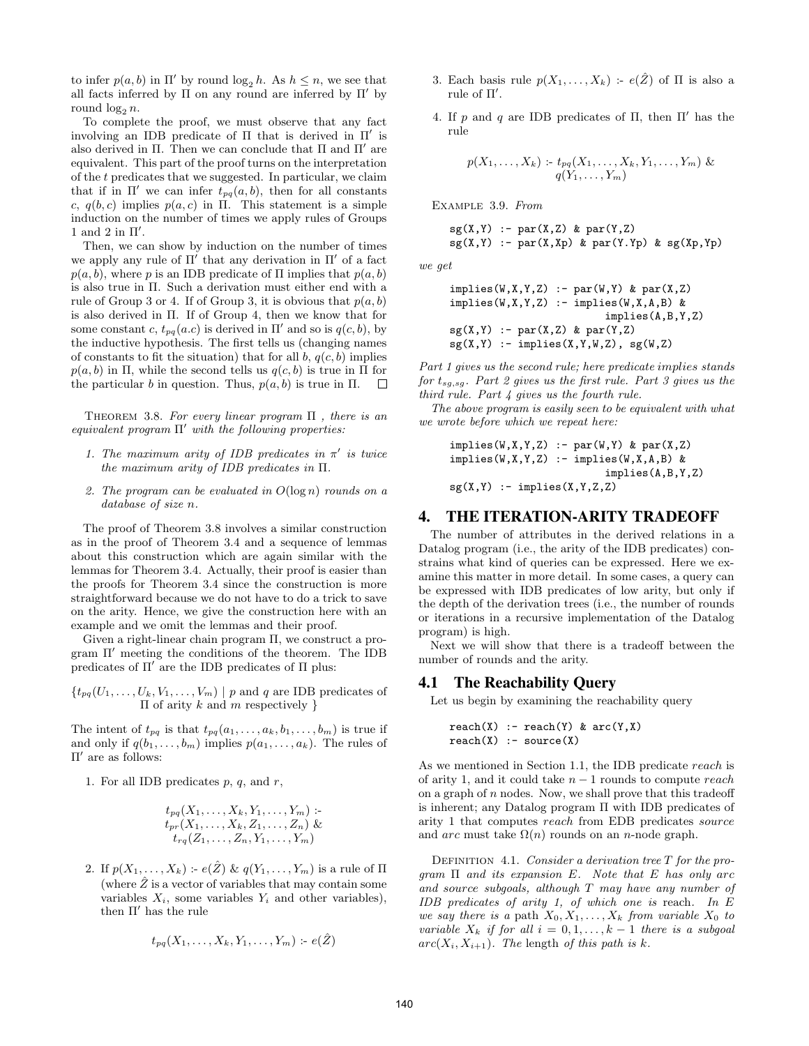to infer  $p(a, b)$  in  $\Pi'$  by round  $\log_2 h$ . As  $h \leq n$ , we see that all facts inferred by Π on any round are inferred by Π′ by round  $\log_2 n$ .

To complete the proof, we must observe that any fact involving an IDB predicate of  $\Pi$  that is derived in  $\Pi'$  is also derived in  $\Pi$ . Then we can conclude that  $\Pi$  and  $\Pi'$  are equivalent. This part of the proof turns on the interpretation of the t predicates that we suggested. In particular, we claim that if in  $\Pi'$  we can infer  $t_{pq}(a, b)$ , then for all constants c,  $q(b, c)$  implies  $p(a, c)$  in Π. This statement is a simple induction on the number of times we apply rules of Groups 1 and 2 in  $\Pi'$ .

Then, we can show by induction on the number of times we apply any rule of  $\Pi'$  that any derivation in  $\Pi'$  of a fact  $p(a, b)$ , where p is an IDB predicate of  $\Pi$  implies that  $p(a, b)$ is also true in Π. Such a derivation must either end with a rule of Group 3 or 4. If of Group 3, it is obvious that  $p(a, b)$ is also derived in  $\Pi$ . If of Group 4, then we know that for some constant c,  $t_{pq}(a.c)$  is derived in  $\Pi'$  and so is  $q(c, b)$ , by the inductive hypothesis. The first tells us (changing names of constants to fit the situation) that for all b,  $q(c, b)$  implies  $p(a, b)$  in Π, while the second tells us  $q(c, b)$  is true in Π for the particular b in question. Thus,  $p(a, b)$  is true in  $\Pi$ .  $\Box$ 

THEOREM 3.8. For every linear program  $\Pi$ , there is an equivalent program Π ′ with the following properties:

- 1. The maximum arity of IDB predicates in  $\pi'$  is twice the maximum arity of IDB predicates in Π.
- 2. The program can be evaluated in  $O(\log n)$  rounds on a database of size n.

The proof of Theorem 3.8 involves a similar construction as in the proof of Theorem 3.4 and a sequence of lemmas about this construction which are again similar with the lemmas for Theorem 3.4. Actually, their proof is easier than the proofs for Theorem 3.4 since the construction is more straightforward because we do not have to do a trick to save on the arity. Hence, we give the construction here with an example and we omit the lemmas and their proof.

Given a right-linear chain program Π, we construct a program Π′ meeting the conditions of the theorem. The IDB predicates of  $\Pi'$  are the IDB predicates of  $\Pi$  plus:

 ${t_{pq}(U_1,\ldots,U_k,V_1,\ldots,V_m) \mid p \text{ and } q \text{ are IDE predicates of}}$ Π of arity k and m respectively }

The intent of  $t_{pq}$  is that  $t_{pq}(a_1, \ldots, a_k, b_1, \ldots, b_m)$  is true if and only if  $q(b_1, \ldots, b_m)$  implies  $p(a_1, \ldots, a_k)$ . The rules of Π ′ are as follows:

1. For all IDB predicates  $p, q$ , and  $r$ ,

$$
t_{pq}(X_1, ..., X_k, Y_1, ..., Y_m) :=\n t_{pr}(X_1, ..., X_k, Z_1, ..., Z_n) <\n t_{rq}(Z_1, ..., Z_n, Y_1, ..., Y_m)
$$

2. If  $p(X_1, \ldots, X_k)$ :  $e(\hat{Z}) \& q(Y_1, \ldots, Y_m)$  is a rule of  $\Pi$ (where  $\hat{Z}$  is a vector of variables that may contain some variables  $X_i$ , some variables  $Y_i$  and other variables), then Π′ has the rule

$$
t_{pq}(X_1,\ldots,X_k,Y_1,\ldots,Y_m)\coloneq e(\hat{Z})
$$

- 3. Each basis rule  $p(X_1, \ldots, X_k) := e(\hat{Z})$  of  $\Pi$  is also a rule of  $\Pi'$ .
- 4. If p and q are IDB predicates of  $\Pi$ , then  $\Pi'$  has the rule

$$
p(X_1,\ldots,X_k) \coloneqq t_{pq}(X_1,\ldots,X_k,Y_1,\ldots,Y_m) \& q(Y_1,\ldots,Y_m)
$$

Example 3.9. From

$$
sg(X,Y) := par(X,Z) & par(Y,Z)
$$
  
 $sg(X,Y) := par(X,Xp) & par(Y,Yp) & sg(Xp,Yp)$ 

we get

```
implies(W, X, Y, Z) :- par(W, Y) & par(X, Z)implies(W, X, Y, Z) :- implies(W, X, A, B) &
                          implies(A,B,Y,Z)
sg(X,Y) :- par(X,Z) & par(Y,Z)sg(X,Y) :- implies(X,Y,W,Z), sg(W,Z)
```
Part 1 gives us the second rule; here predicate implies stands for  $t_{sq,sq}$ . Part 2 gives us the first rule. Part 3 gives us the third rule. Part  $4$  gives us the fourth rule.

The above program is easily seen to be equivalent with what we wrote before which we repeat here:

```
implies(W, X, Y, Z) :- par(W, Y) & par(X, Z)implies(W, X, Y, Z) :- implies(W, X, A, B) &
                           implies(A,B,Y,Z)
sg(X,Y) :- implies(X,Y,Z,Z)
```
# 4. THE ITERATION-ARITY TRADEOFF

The number of attributes in the derived relations in a Datalog program (i.e., the arity of the IDB predicates) constrains what kind of queries can be expressed. Here we examine this matter in more detail. In some cases, a query can be expressed with IDB predicates of low arity, but only if the depth of the derivation trees (i.e., the number of rounds or iterations in a recursive implementation of the Datalog program) is high.

Next we will show that there is a tradeoff between the number of rounds and the arity.

#### 4.1 The Reachability Query

Let us begin by examining the reachability query

```
reach(X) := reach(Y) & arc(Y,X)reach(X) :- source(X)
```
As we mentioned in Section 1.1, the IDB predicate reach is of arity 1, and it could take  $n-1$  rounds to compute reach on a graph of  $n$  nodes. Now, we shall prove that this tradeoff is inherent; any Datalog program Π with IDB predicates of arity 1 that computes reach from EDB predicates source and arc must take  $\Omega(n)$  rounds on an n-node graph.

DEFINITION 4.1. Consider a derivation tree  $T$  for the pro $gram \Pi$  and its expansion E. Note that E has only arc and source subgoals, although T may have any number of IDB predicates of arity 1, of which one is reach. In  $E$ we say there is a path  $X_0, X_1, \ldots, X_k$  from variable  $X_0$  to variable  $X_k$  if for all  $i = 0, 1, \ldots, k - 1$  there is a subgoal  $arc(X_i, X_{i+1})$ . The length of this path is k.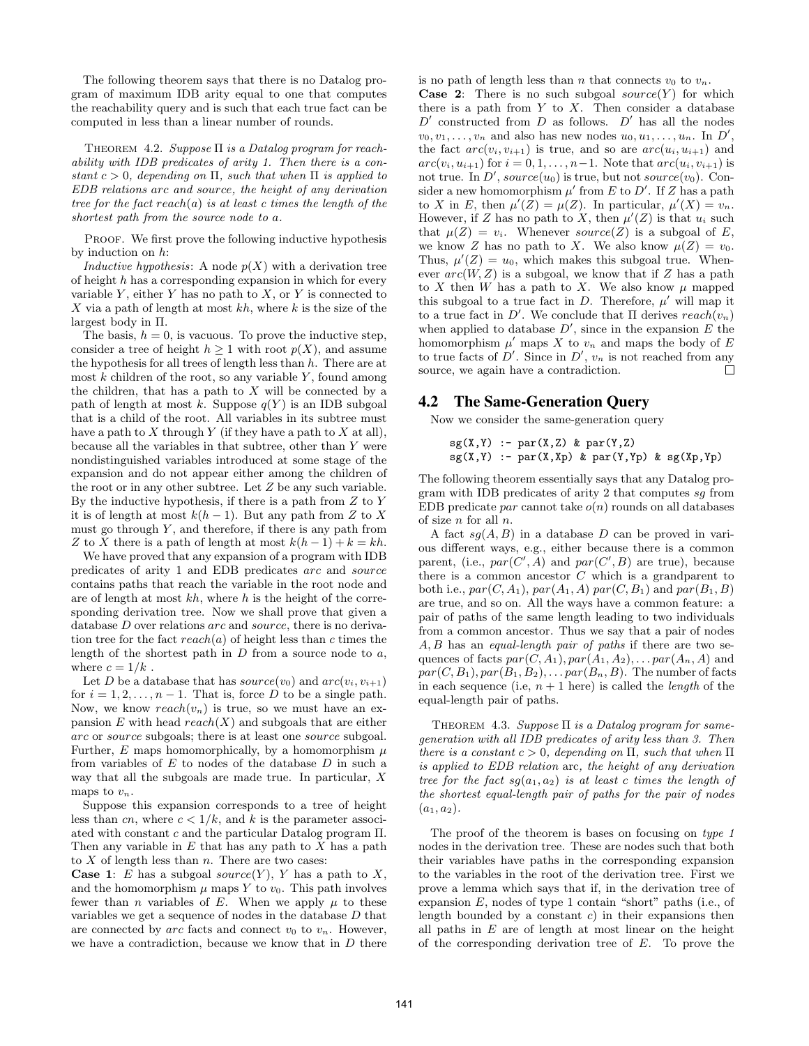The following theorem says that there is no Datalog program of maximum IDB arity equal to one that computes the reachability query and is such that each true fact can be computed in less than a linear number of rounds.

THEOREM 4.2. Suppose  $\Pi$  is a Datalog program for reachability with IDB predicates of arity 1. Then there is a constant  $c > 0$ , depending on  $\Pi$ , such that when  $\Pi$  is applied to EDB relations arc and source, the height of any derivation tree for the fact  $reach(a)$  is at least c times the length of the shortest path from the source node to a.

PROOF. We first prove the following inductive hypothesis by induction on  $h$ :

Inductive hypothesis: A node  $p(X)$  with a derivation tree of height  $h$  has a corresponding expansion in which for every variable  $Y$ , either  $Y$  has no path to  $X$ , or  $Y$  is connected to X via a path of length at most  $kh$ , where k is the size of the largest body in Π.

The basis,  $h = 0$ , is vacuous. To prove the inductive step, consider a tree of height  $h \geq 1$  with root  $p(X)$ , and assume the hypothesis for all trees of length less than  $h$ . There are at most  $k$  children of the root, so any variable  $Y$ , found among the children, that has a path to  $X$  will be connected by a path of length at most k. Suppose  $q(Y)$  is an IDB subgoal that is a child of the root. All variables in its subtree must have a path to  $X$  through  $Y$  (if they have a path to  $X$  at all), because all the variables in that subtree, other than Y were nondistinguished variables introduced at some stage of the expansion and do not appear either among the children of the root or in any other subtree. Let  $Z$  be any such variable. By the inductive hypothesis, if there is a path from  $Z$  to  $Y$ it is of length at most  $k(h-1)$ . But any path from Z to X must go through  $Y$ , and therefore, if there is any path from Z to X there is a path of length at most  $k(h-1) + k = kh$ .

We have proved that any expansion of a program with IDB predicates of arity 1 and EDB predicates arc and source contains paths that reach the variable in the root node and are of length at most  $kh$ , where h is the height of the corresponding derivation tree. Now we shall prove that given a database D over relations arc and source, there is no derivation tree for the fact  $reach(a)$  of height less than c times the length of the shortest path in  $D$  from a source node to  $a$ , where  $c = 1/k$ .

Let D be a database that has  $source(v_0)$  and  $arc(v_i, v_{i+1})$ for  $i = 1, 2, \ldots, n - 1$ . That is, force D to be a single path. Now, we know  $reach(v_n)$  is true, so we must have an expansion E with head  $reach(X)$  and subgoals that are either arc or source subgoals; there is at least one source subgoal. Further, E maps homomorphically, by a homomorphism  $\mu$ from variables of  $E$  to nodes of the database  $D$  in such a way that all the subgoals are made true. In particular, X maps to  $v_n$ .

Suppose this expansion corresponds to a tree of height less than cn, where  $c < 1/k$ , and k is the parameter associated with constant c and the particular Datalog program Π. Then any variable in  $E$  that has any path to  $X$  has a path to  $X$  of length less than  $n$ . There are two cases:

**Case 1:** E has a subgoal source  $(Y)$ , Y has a path to X, and the homomorphism  $\mu$  maps Y to  $v_0$ . This path involves fewer than *n* variables of E. When we apply  $\mu$  to these variables we get a sequence of nodes in the database D that are connected by arc facts and connect  $v_0$  to  $v_n$ . However, we have a contradiction, because we know that in  $D$  there is no path of length less than n that connects  $v_0$  to  $v_n$ .

**Case 2:** There is no such subgoal  $source(Y)$  for which there is a path from  $Y$  to  $X$ . Then consider a database  $D'$  constructed from  $D$  as follows.  $D'$  has all the nodes  $v_0, v_1, \ldots, v_n$  and also has new nodes  $u_0, u_1, \ldots, u_n$ . In  $D'$ , the fact  $arc(v_i, v_{i+1})$  is true, and so are  $arc(u_i, u_{i+1})$  and  $arc(v_i, u_{i+1})$  for  $i = 0, 1, ..., n-1$ . Note that  $arc(u_i, v_{i+1})$  is not true. In D', source $(u_0)$  is true, but not source $(v_0)$ . Consider a new homomorphism  $\mu'$  from E to D'. If Z has a path to X in E, then  $\mu'(Z) = \mu(Z)$ . In particular,  $\mu'(X) = v_n$ . However, if Z has no path to X, then  $\mu'(Z)$  is that  $u_i$  such that  $\mu(Z) = v_i$ . Whenever source(Z) is a subgoal of E, we know Z has no path to X. We also know  $\mu(Z) = v_0$ . Thus,  $\mu'(Z) = u_0$ , which makes this subgoal true. Whenever  $arc(W, Z)$  is a subgoal, we know that if Z has a path to X then W has a path to X. We also know  $\mu$  mapped this subgoal to a true fact in D. Therefore,  $\mu'$  will map it to a true fact in D'. We conclude that  $\Pi$  derives reach $(v_n)$ when applied to database  $D'$ , since in the expansion  $E$  the homomorphism  $\mu'$  maps X to  $v_n$  and maps the body of E to true facts of  $D'$ . Since in  $D', v_n$  is not reached from any source, we again have a contradiction.

# 4.2 The Same-Generation Query

Now we consider the same-generation query

 $sg(X,Y)$  :- par $(X,Z)$  & par $(Y,Z)$  $sg(X,Y) := par(X,Xp)$  &  $par(Y,Yp)$  &  $sg(Xp,Yp)$ 

The following theorem essentially says that any Datalog program with IDB predicates of arity 2 that computes sg from EDB predicate par cannot take  $o(n)$  rounds on all databases of size  $n$  for all  $n$ .

A fact  $sq(A, B)$  in a database D can be proved in various different ways, e.g., either because there is a common parent, (i.e.,  $par(C', A)$  and  $par(C', B)$  are true), because there is a common ancestor  $C$  which is a grandparent to both i.e.,  $par(C, A_1)$ ,  $par(A_1, A)$   $par(C, B_1)$  and  $par(B_1, B)$ are true, and so on. All the ways have a common feature: a pair of paths of the same length leading to two individuals from a common ancestor. Thus we say that a pair of nodes A, B has an equal-length pair of paths if there are two sequences of facts  $par(C, A_1), par(A_1, A_2), \ldots par(A_n, A)$  and  $par(C, B_1), par(B_1, B_2), \ldots par(B_n, B)$ . The number of facts in each sequence (i.e,  $n + 1$  here) is called the *length* of the equal-length pair of paths.

THEOREM 4.3. Suppose  $\Pi$  is a Datalog program for samegeneration with all IDB predicates of arity less than 3. Then there is a constant  $c > 0$ , depending on  $\Pi$ , such that when  $\Pi$ is applied to EDB relation arc, the height of any derivation tree for the fact  $sq(a_1, a_2)$  is at least c times the length of the shortest equal-length pair of paths for the pair of nodes  $(a_1, a_2)$ .

The proof of the theorem is bases on focusing on type 1 nodes in the derivation tree. These are nodes such that both their variables have paths in the corresponding expansion to the variables in the root of the derivation tree. First we prove a lemma which says that if, in the derivation tree of expansion E, nodes of type 1 contain "short" paths (i.e., of length bounded by a constant  $c$ ) in their expansions then all paths in  $E$  are of length at most linear on the height of the corresponding derivation tree of  $E$ . To prove the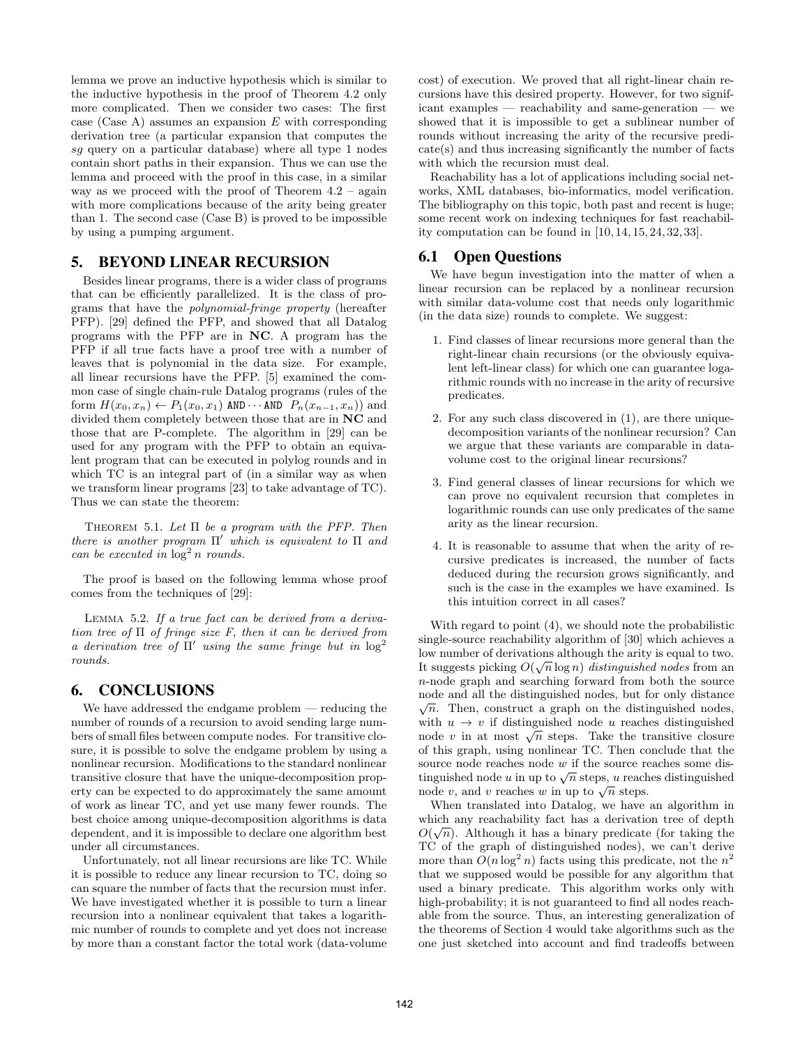lemma we prove an inductive hypothesis which is similar to the inductive hypothesis in the proof of Theorem 4.2 only more complicated. Then we consider two cases: The first case (Case A) assumes an expansion  $E$  with corresponding derivation tree (a particular expansion that computes the sg query on a particular database) where all type 1 nodes contain short paths in their expansion. Thus we can use the lemma and proceed with the proof in this case, in a similar way as we proceed with the proof of Theorem 4.2 – again with more complications because of the arity being greater than 1. The second case (Case B) is proved to be impossible by using a pumping argument.

# 5. BEYOND LINEAR RECURSION

Besides linear programs, there is a wider class of programs that can be efficiently parallelized. It is the class of programs that have the polynomial-fringe property (hereafter PFP). [29] defined the PFP, and showed that all Datalog programs with the PFP are in NC. A program has the PFP if all true facts have a proof tree with a number of leaves that is polynomial in the data size. For example, all linear recursions have the PFP. [5] examined the common case of single chain-rule Datalog programs (rules of the form  $H(x_0, x_n) \leftarrow P_1(x_0, x_1)$  AND  $\cdots$  AND  $P_n(x_{n-1}, x_n)$  and divided them completely between those that are in NC and those that are P-complete. The algorithm in [29] can be used for any program with the PFP to obtain an equivalent program that can be executed in polylog rounds and in which TC is an integral part of (in a similar way as when we transform linear programs [23] to take advantage of TC). Thus we can state the theorem:

THEOREM 5.1. Let  $\Pi$  be a program with the PFP. Then there is another program  $\Pi'$  which is equivalent to  $\Pi$  and can be executed in  $\log^2 n$  rounds.

The proof is based on the following lemma whose proof comes from the techniques of [29]:

Lemma 5.2. If a true fact can be derived from a derivation tree of  $\Pi$  of fringe size F, then it can be derived from a derivation tree of  $\Pi'$  using the same fringe but in  $\log^2$ rounds.

## 6. CONCLUSIONS

We have addressed the endgame problem — reducing the number of rounds of a recursion to avoid sending large numbers of small files between compute nodes. For transitive closure, it is possible to solve the endgame problem by using a nonlinear recursion. Modifications to the standard nonlinear transitive closure that have the unique-decomposition property can be expected to do approximately the same amount of work as linear TC, and yet use many fewer rounds. The best choice among unique-decomposition algorithms is data dependent, and it is impossible to declare one algorithm best under all circumstances.

Unfortunately, not all linear recursions are like TC. While it is possible to reduce any linear recursion to TC, doing so can square the number of facts that the recursion must infer. We have investigated whether it is possible to turn a linear recursion into a nonlinear equivalent that takes a logarithmic number of rounds to complete and yet does not increase by more than a constant factor the total work (data-volume

cost) of execution. We proved that all right-linear chain recursions have this desired property. However, for two significant examples — reachability and same-generation — we showed that it is impossible to get a sublinear number of rounds without increasing the arity of the recursive predicate(s) and thus increasing significantly the number of facts with which the recursion must deal.

Reachability has a lot of applications including social networks, XML databases, bio-informatics, model verification. The bibliography on this topic, both past and recent is huge; some recent work on indexing techniques for fast reachability computation can be found in [10, 14, 15, 24, 32, 33].

## 6.1 Open Questions

We have begun investigation into the matter of when a linear recursion can be replaced by a nonlinear recursion with similar data-volume cost that needs only logarithmic (in the data size) rounds to complete. We suggest:

- 1. Find classes of linear recursions more general than the right-linear chain recursions (or the obviously equivalent left-linear class) for which one can guarantee logarithmic rounds with no increase in the arity of recursive predicates.
- 2. For any such class discovered in (1), are there uniquedecomposition variants of the nonlinear recursion? Can we argue that these variants are comparable in datavolume cost to the original linear recursions?
- 3. Find general classes of linear recursions for which we can prove no equivalent recursion that completes in logarithmic rounds can use only predicates of the same arity as the linear recursion.
- 4. It is reasonable to assume that when the arity of recursive predicates is increased, the number of facts deduced during the recursion grows significantly, and such is the case in the examples we have examined. Is this intuition correct in all cases?

With regard to point (4), we should note the probabilistic single-source reachability algorithm of [30] which achieves a low number of derivations although the arity is equal to two. It suggests picking  $O(\sqrt{n}\log n)$  distinguished nodes from an n-node graph and searching forward from both the source node and all the distinguished nodes, but for only distance  $\sqrt{n}$ . Then, construct a graph on the distinguished nodes, with  $u \rightarrow v$  if distinguished node u reaches distinguished with  $u \to v$  if distinguished node u reaches distinguished<br>node v in at most  $\sqrt{n}$  steps. Take the transitive closure of this graph, using nonlinear TC. Then conclude that the source node reaches node  $w$  if the source reaches some dissource node reaches node w if the source reaches some distinguished node u in up to  $\sqrt{n}$  steps, u reaches distinguished tinguished hode u in up to  $\sqrt{n}$  steps, u reach-<br>node v, and v reaches w in up to  $\sqrt{n}$  steps.

When translated into Datalog, we have an algorithm in which any reachability fact has a derivation tree of depth  $O(\sqrt{n})$ . Although it has a binary predicate (for taking the TC of the graph of distinguished nodes), we can't derive more than  $O(n \log^2 n)$  facts using this predicate, not the  $n^2$ that we supposed would be possible for any algorithm that used a binary predicate. This algorithm works only with high-probability; it is not guaranteed to find all nodes reachable from the source. Thus, an interesting generalization of the theorems of Section 4 would take algorithms such as the one just sketched into account and find tradeoffs between